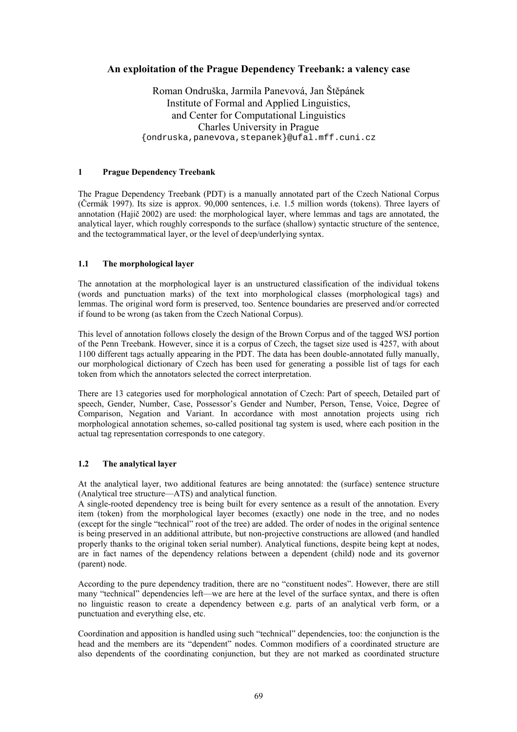# **An exploitation of the Prague Dependency Treebank: a valency case**

Roman Ondruška, Jarmila Panevová, Jan Štěpánek Institute of Formal and Applied Linguistics, and Center for Computational Linguistics Charles University in Prague {ondruska,panevova,stepanek}@ufal.mff.cuni.cz

### **1 Prague Dependency Treebank**

The Prague Dependency Treebank (PDT) is a manually annotated part of the Czech National Corpus (Čermák 1997). Its size is approx. 90,000 sentences, i.e. 1.5 million words (tokens). Three layers of annotation (Hajič 2002) are used: the morphological layer, where lemmas and tags are annotated, the analytical layer, which roughly corresponds to the surface (shallow) syntactic structure of the sentence, and the tectogrammatical layer, or the level of deep/underlying syntax.

## **1.1 The morphological layer**

The annotation at the morphological layer is an unstructured classification of the individual tokens (words and punctuation marks) of the text into morphological classes (morphological tags) and lemmas. The original word form is preserved, too. Sentence boundaries are preserved and/or corrected if found to be wrong (as taken from the Czech National Corpus).

This level of annotation follows closely the design of the Brown Corpus and of the tagged WSJ portion of the Penn Treebank. However, since it is a corpus of Czech, the tagset size used is 4257, with about 1100 different tags actually appearing in the PDT. The data has been double-annotated fully manually, our morphological dictionary of Czech has been used for generating a possible list of tags for each token from which the annotators selected the correct interpretation.

There are 13 categories used for morphological annotation of Czech: Part of speech, Detailed part of speech, Gender, Number, Case, Possessor's Gender and Number, Person, Tense, Voice, Degree of Comparison, Negation and Variant. In accordance with most annotation projects using rich morphological annotation schemes, so-called positional tag system is used, where each position in the actual tag representation corresponds to one category.

# **1.2 The analytical layer**

At the analytical layer, two additional features are being annotated: the (surface) sentence structure (Analytical tree structure—ATS) and analytical function.

A single-rooted dependency tree is being built for every sentence as a result of the annotation. Every item (token) from the morphological layer becomes (exactly) one node in the tree, and no nodes (except for the single "technical" root of the tree) are added. The order of nodes in the original sentence is being preserved in an additional attribute, but non-projective constructions are allowed (and handled properly thanks to the original token serial number). Analytical functions, despite being kept at nodes, are in fact names of the dependency relations between a dependent (child) node and its governor (parent) node.

According to the pure dependency tradition, there are no "constituent nodes". However, there are still many "technical" dependencies left—we are here at the level of the surface syntax, and there is often no linguistic reason to create a dependency between e.g. parts of an analytical verb form, or a punctuation and everything else, etc.

Coordination and apposition is handled using such "technical" dependencies, too: the conjunction is the head and the members are its "dependent" nodes. Common modifiers of a coordinated structure are also dependents of the coordinating conjunction, but they are not marked as coordinated structure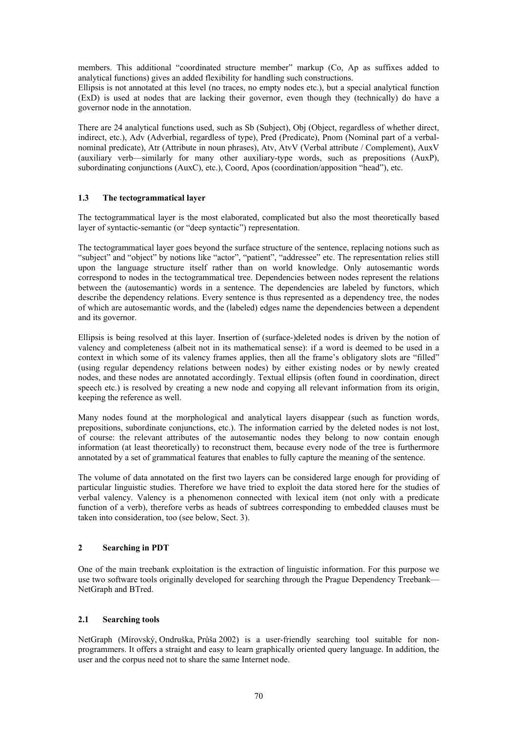members. This additional "coordinated structure member" markup (Co, Ap as suffixes added to analytical functions) gives an added flexibility for handling such constructions.

Ellipsis is not annotated at this level (no traces, no empty nodes etc.), but a special analytical function (ExD) is used at nodes that are lacking their governor, even though they (technically) do have a governor node in the annotation.

There are 24 analytical functions used, such as Sb (Subject), Obj (Object, regardless of whether direct, indirect, etc.), Adv (Adverbial, regardless of type), Pred (Predicate), Pnom (Nominal part of a verbalnominal predicate), Atr (Attribute in noun phrases), Atv, AtvV (Verbal attribute / Complement), AuxV (auxiliary verb—similarly for many other auxiliary-type words, such as prepositions (AuxP), subordinating conjunctions (AuxC), etc.), Coord, Apos (coordination/apposition "head"), etc.

### **1.3 The tectogrammatical layer**

The tectogrammatical layer is the most elaborated, complicated but also the most theoretically based layer of syntactic-semantic (or "deep syntactic") representation.

The tectogrammatical layer goes beyond the surface structure of the sentence, replacing notions such as "subject" and "object" by notions like "actor", "patient", "addressee" etc. The representation relies still upon the language structure itself rather than on world knowledge. Only autosemantic words correspond to nodes in the tectogrammatical tree. Dependencies between nodes represent the relations between the (autosemantic) words in a sentence. The dependencies are labeled by functors, which describe the dependency relations. Every sentence is thus represented as a dependency tree, the nodes of which are autosemantic words, and the (labeled) edges name the dependencies between a dependent and its governor.

Ellipsis is being resolved at this layer. Insertion of (surface-)deleted nodes is driven by the notion of valency and completeness (albeit not in its mathematical sense): if a word is deemed to be used in a context in which some of its valency frames applies, then all the frame's obligatory slots are "filled" (using regular dependency relations between nodes) by either existing nodes or by newly created nodes, and these nodes are annotated accordingly. Textual ellipsis (often found in coordination, direct speech etc.) is resolved by creating a new node and copying all relevant information from its origin, keeping the reference as well.

Many nodes found at the morphological and analytical layers disappear (such as function words, prepositions, subordinate conjunctions, etc.). The information carried by the deleted nodes is not lost, of course: the relevant attributes of the autosemantic nodes they belong to now contain enough information (at least theoretically) to reconstruct them, because every node of the tree is furthermore annotated by a set of grammatical features that enables to fully capture the meaning of the sentence.

The volume of data annotated on the first two layers can be considered large enough for providing of particular linguistic studies. Therefore we have tried to exploit the data stored here for the studies of verbal valency. Valency is a phenomenon connected with lexical item (not only with a predicate function of a verb), therefore verbs as heads of subtrees corresponding to embedded clauses must be taken into consideration, too (see below, Sect. 3).

## **2 Searching in PDT**

One of the main treebank exploitation is the extraction of linguistic information. For this purpose we use two software tools originally developed for searching through the Prague Dependency Treebank— NetGraph and BTred.

#### **2.1 Searching tools**

NetGraph (Mírovský, Ondruška, Průša 2002) is a user-friendly searching tool suitable for nonprogrammers. It offers a straight and easy to learn graphically oriented query language. In addition, the user and the corpus need not to share the same Internet node.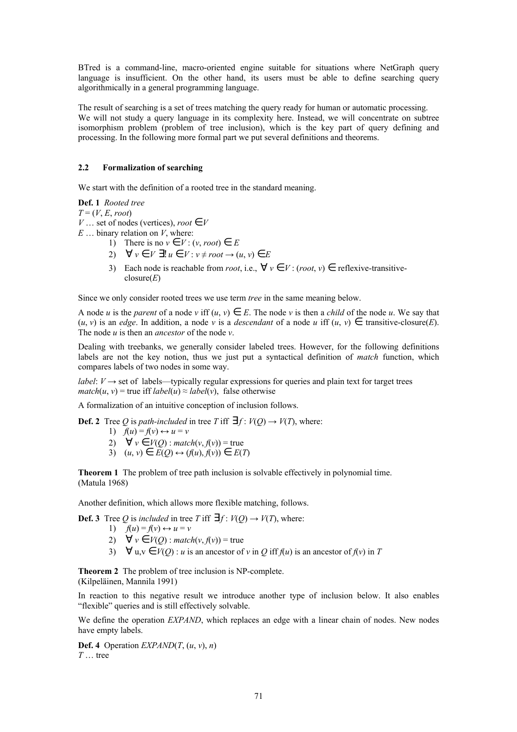BTred is a command-line, macro-oriented engine suitable for situations where NetGraph query language is insufficient. On the other hand, its users must be able to define searching query algorithmically in a general programming language.

The result of searching is a set of trees matching the query ready for human or automatic processing. We will not study a query language in its complexity here. Instead, we will concentrate on subtree isomorphism problem (problem of tree inclusion), which is the key part of query defining and processing. In the following more formal part we put several definitions and theorems.

### **2.2 Formalization of searching**

We start with the definition of a rooted tree in the standard meaning.

### **Def. 1** *Rooted tree*

 $T = (V, E, root)$ 

- *V* … set of nodes (vertices), *root*  $\in V$
- *E* … binary relation on *V*, where:
	- 1) There is no  $v \in V$  :  $(v, root) \in E$
	- 2)  $\forall v \in V \exists! u \in V : v \neq root \rightarrow (u, v) \in E$
	- 3) Each node is reachable from *root*, i.e.,  $\forall v \in V$ : (*root*, *v*)  $\in$  reflexive-transitiveclosure(*E*)

Since we only consider rooted trees we use term *tree* in the same meaning below.

A node *u* is the *parent* of a node *v* iff  $(u, v) \in E$ . The node *v* is then a *child* of the node *u*. We say that  $(u, v)$  is an *edge*. In addition, a node *v* is a *descendant* of a node *u* iff  $(u, v) \in$  transitive-closure(*E*). The node *u* is then an *ancestor* of the node *v*.

Dealing with treebanks, we generally consider labeled trees. However, for the following definitions labels are not the key notion, thus we just put a syntactical definition of *match* function, which compares labels of two nodes in some way.

*label*:  $V \rightarrow$  set of labels—typically regular expressions for queries and plain text for target trees *match*(*u*, *v*) = true iff *label*(*u*)  $\approx$  *label*(*v*), false otherwise

A formalization of an intuitive conception of inclusion follows.

**Def. 2** Tree *Q* is *path-included* in tree *T* iff  $\exists f: V(Q) \rightarrow V(T)$ , where:

- 1)  $f(u) = f(v) \leftrightarrow u = v$
- 2)  $\forall v \in V(Q)$  : *match*(*v*, *f*(*v*)) = true
- 3)  $(u, v) \in E(Q) \leftrightarrow (f(u), f(v)) \in E(T)$

**Theorem 1** The problem of tree path inclusion is solvable effectively in polynomial time. (Matula 1968)

Another definition, which allows more flexible matching, follows.

**Def. 3** Tree *Q* is *included* in tree *T* iff  $\exists f: V(Q) \rightarrow V(T)$ , where:

- 1)  $f(u) = f(v) \leftrightarrow u = v$
- 2)  $\forall v \in V(Q)$  : *match*(*v*, *f*(*v*)) = true
- 3)  $\forall u, v \in V(O) : u$  is an ancestor of *v* in *Q* iff  $f(u)$  is an ancestor of  $f(v)$  in *T*

**Theorem 2** The problem of tree inclusion is NP-complete. (Kilpeläinen, Mannila 1991)

In reaction to this negative result we introduce another type of inclusion below. It also enables "flexible" queries and is still effectively solvable.

We define the operation *EXPAND*, which replaces an edge with a linear chain of nodes. New nodes have empty labels.

**Def. 4** Operation *EXPAND*(*T*,  $(u, v)$ , *n*) *T* … tree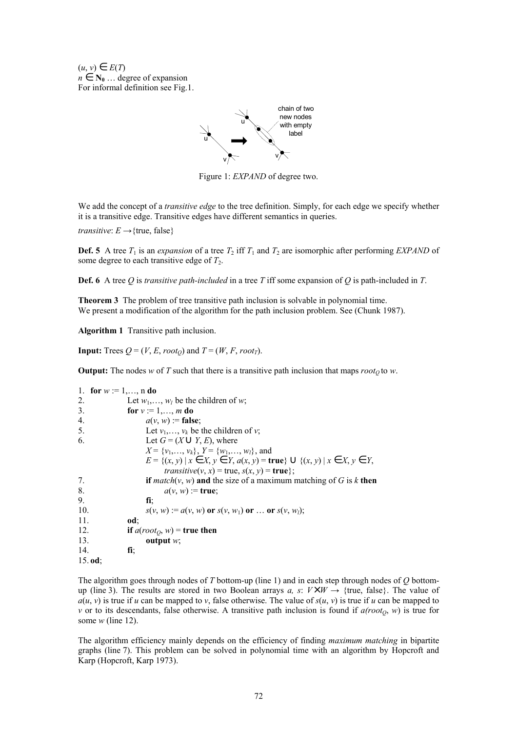$(u, v) \in E(T)$  $n \in \mathbb{N}_0$  ... degree of expansion For informal definition see Fig.1.



Figure 1: *EXPAND* of degree two.

We add the concept of a *transitive edge* to the tree definition. Simply, for each edge we specify whether it is a transitive edge. Transitive edges have different semantics in queries.

*transitive*:  $E \rightarrow$ {true, false}

**Def. 5** A tree  $T_1$  is an *expansion* of a tree  $T_2$  iff  $T_1$  and  $T_2$  are isomorphic after performing *EXPAND* of some degree to each transitive edge of  $T_2$ .

**Def. 6** A tree *Q* is *transitive path-included* in a tree *T* iff some expansion of *Q* is path-included in *T*.

**Theorem 3** The problem of tree transitive path inclusion is solvable in polynomial time. We present a modification of the algorithm for the path inclusion problem. See (Chunk 1987).

**Algorithm 1** Transitive path inclusion.

**Input:** Trees  $Q = (V, E, root_0)$  and  $T = (W, F, root_T)$ .

**Output:** The nodes *w* of *T* such that there is a transitive path inclusion that maps  $root_0$  to *w*.

|     | 1. for $w := 1, , n$ do                                                               |
|-----|---------------------------------------------------------------------------------------|
| 2.  | Let $w_1, \ldots, w_l$ be the children of w.                                          |
| 3.  | for $v := 1, , m$ do                                                                  |
| 4.  | $a(v, w) :=$ false:                                                                   |
| 5.  | Let $v_1, \ldots, v_k$ be the children of v;                                          |
| 6.  | Let $G = (X \cup Y, E)$ , where                                                       |
|     | $X = \{v_1, \ldots, v_k\}, Y = \{w_1, \ldots, w_l\},$ and                             |
|     | $E = \{(x, y)   x \in X, y \in Y, a(x, y) = true\} \cup \{(x, y)   x \in X, y \in Y,$ |
|     | <i>transitive</i> $(v, x)$ = true, $s(x, y)$ = <b>true</b> };                         |
| 7.  | <b>if</b> match(v, w) and the size of a maximum matching of G is k then               |
| 8.  | $a(v, w) :=$ true;                                                                    |
| 9.  | fi:                                                                                   |
| 10. | $s(v, w) := a(v, w)$ or $s(v, w_1)$ or  or $s(v, w_1)$ ;                              |
| 11. | od:                                                                                   |
| 12. | if $a(root_O, w)$ = true then                                                         |
| 13. | output $w$ ;                                                                          |
| 14. | fi:                                                                                   |
|     | $15.$ od;                                                                             |

The algorithm goes through nodes of *T* bottom-up (line 1) and in each step through nodes of *Q* bottomup (line 3). The results are stored in two Boolean arrays *a*, *s*:  $V \times W \rightarrow$  {true, false}. The value of  $a(u, v)$  is true if *u* can be mapped to *v*, false otherwise. The value of  $s(u, v)$  is true if *u* can be mapped to *v* or to its descendants, false otherwise. A transitive path inclusion is found if  $a(root<sub>Q</sub>, w)$  is true for some *w* (line 12).

The algorithm efficiency mainly depends on the efficiency of finding *maximum matching* in bipartite graphs (line 7). This problem can be solved in polynomial time with an algorithm by Hopcroft and Karp (Hopcroft, Karp 1973).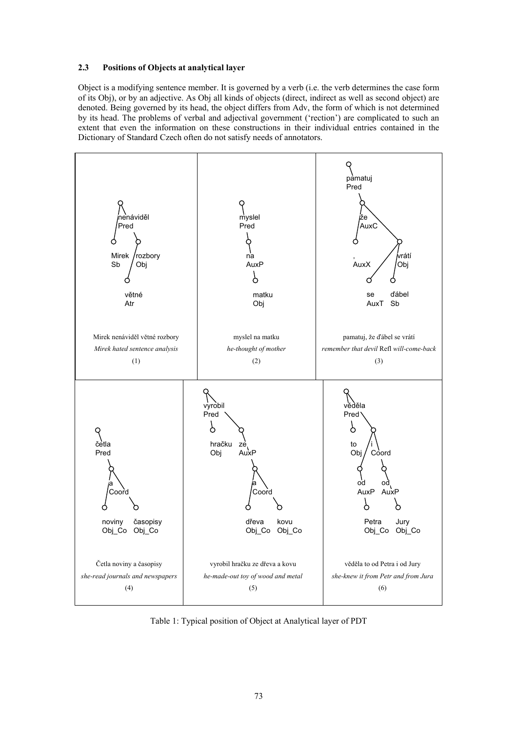## **2.3 Positions of Objects at analytical layer**

Object is a modifying sentence member. It is governed by a verb (i.e. the verb determines the case form of its Obj), or by an adjective. As Obj all kinds of objects (direct, indirect as well as second object) are denoted. Being governed by its head, the object differs from Adv, the form of which is not determined by its head. The problems of verbal and adjectival government ('rection') are complicated to such an extent that even the information on these constructions in their individual entries contained in the Dictionary of Standard Czech often do not satisfy needs of annotators.



Table 1: Typical position of Object at Analytical layer of PDT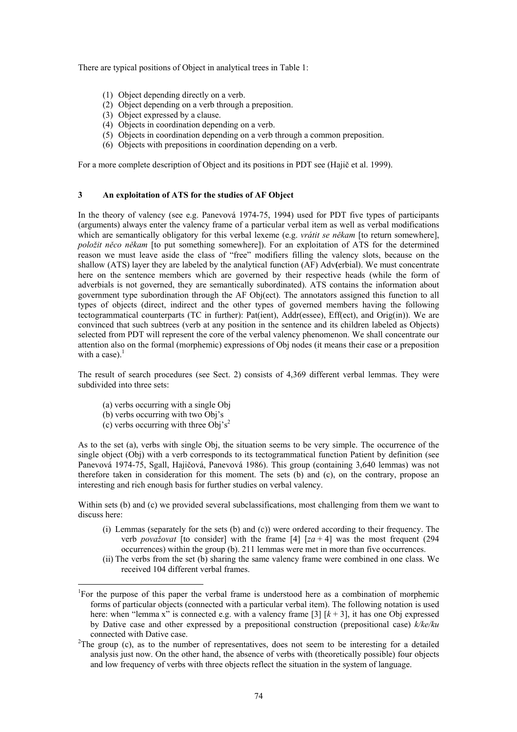There are typical positions of Object in analytical trees in Table 1:

- (1) Object depending directly on a verb.
- (2) Object depending on a verb through a preposition.
- (3) Object expressed by a clause.
- (4) Objects in coordination depending on a verb.
- (5) Objects in coordination depending on a verb through a common preposition.
- (6) Objects with prepositions in coordination depending on a verb.

For a more complete description of Object and its positions in PDT see (Hajič et al. 1999).

## **3 An exploitation of ATS for the studies of AF Object**

In the theory of valency (see e.g. Panevová 1974-75, 1994) used for PDT five types of participants (arguments) always enter the valency frame of a particular verbal item as well as verbal modifications which are semantically obligatory for this verbal lexeme (e.g. *vrátit se někam* [to return somewhere], *položit něco někam* [to put something somewhere]). For an exploitation of ATS for the determined reason we must leave aside the class of "free" modifiers filling the valency slots, because on the shallow (ATS) layer they are labeled by the analytical function (AF) Adv**(**erbial). We must concentrate here on the sentence members which are governed by their respective heads (while the form of adverbials is not governed, they are semantically subordinated). ATS contains the information about government type subordination through the AF Obj(ect). The annotators assigned this function to all types of objects (direct, indirect and the other types of governed members having the following tectogrammatical counterparts (TC in further): Pat(ient), Addr(essee), Eff(ect), and Orig(in)). We are convinced that such subtrees (verb at any position in the sentence and its children labeled as Objects) selected from PDT will represent the core of the verbal valency phenomenon. We shall concentrate our attention also on the formal (morphemic) expressions of Obj nodes (it means their case or a preposition with a case). $<sup>1</sup>$ </sup>

The result of search procedures (see Sect. 2) consists of 4,369 different verbal lemmas. They were subdivided into three sets:

- (a) verbs occurring with a single Obj
- (b) verbs occurring with two Obj's
- (c) verbs occurring with three Obj's<sup>[2](#page-5-1)</sup>

 $\overline{a}$ 

As to the set (a), verbs with single Obj, the situation seems to be very simple. The occurrence of the single object (Obj) with a verb corresponds to its tectogrammatical function Patient by definition (see Panevová 1974-75, Sgall, Hajičová, Panevová 1986). This group (containing 3,640 lemmas) was not therefore taken in consideration for this moment. The sets (b) and (c), on the contrary, propose an interesting and rich enough basis for further studies on verbal valency.

Within sets (b) and (c) we provided several subclassifications, most challenging from them we want to discuss here:

- (i) Lemmas (separately for the sets (b) and (c)) were ordered according to their frequency. The verb *považovat* [to consider] with the frame [4]  $[za + 4]$  was the most frequent (294) occurrences) within the group (b). 211 lemmas were met in more than five occurrences.
- (ii) The verbs from the set (b) sharing the same valency frame were combined in one class. We received 104 different verbal frames.

<span id="page-5-0"></span><sup>&</sup>lt;sup>1</sup>For the purpose of this paper the verbal frame is understood here as a combination of morphemic forms of particular objects (connected with a particular verbal item). The following notation is used here: when "lemma x" is connected e.g. with a valency frame [3]  $[k + 3]$ , it has one Obj expressed by Dative case and other expressed by a prepositional construction (prepositional case) *k/ke/ku* connected with Dative case.

<span id="page-5-1"></span><sup>&</sup>lt;sup>2</sup>The group (c), as to the number of representatives, does not seem to be interesting for a detailed analysis just now. On the other hand, the absence of verbs with (theoretically possible) four objects and low frequency of verbs with three objects reflect the situation in the system of language.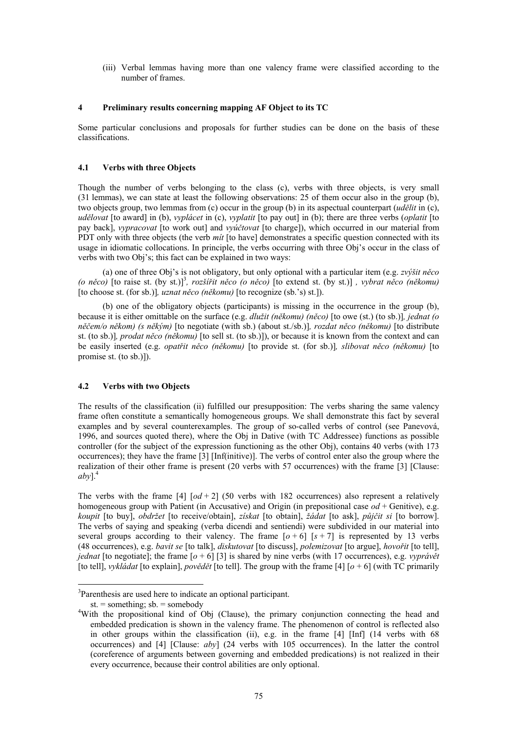(iii) Verbal lemmas having more than one valency frame were classified according to the number of frames.

### **4 Preliminary results concerning mapping AF Object to its TC**

Some particular conclusions and proposals for further studies can be done on the basis of these classifications.

### **4.1 Verbs with three Objects**

Though the number of verbs belonging to the class (c), verbs with three objects, is very small (31 lemmas), we can state at least the following observations: 25 of them occur also in the group (b), two objects group, two lemmas from (c) occur in the group (b) in its aspectual counterpart (*udělit* in (c), *udělovat* [to award] in (b), *vyplácet* in (c), *vyplatit* [to pay out] in (b); there are three verbs (*oplatit* [to pay back], *vypracovat* [to work out] and *vyúčtovat* [to charge]), which occurred in our material from PDT only with three objects (the verb *mít* [to have] demonstrates a specific question connected with its usage in idiomatic collocations. In principle, the verbs occurring with three Obj's occur in the class of verbs with two Obj's; this fact can be explained in two ways:

(a) one of three Obj's is not obligatory, but only optional with a particular item (e.g. *zvýšit něco (o něco)* [to raise st. (by st.)[\]3](#page-6-0) *, rozšířit něco (o něco)* [to extend st. (by st.)] *, vybrat něco (někomu)* [to choose st. (for sb.)]*, uznat něco (někomu)* [to recognize (sb.'s) st.]).

(b) one of the obligatory objects (participants) is missing in the occurrence in the group (b), because it is either omittable on the surface (e.g. *dlužit (někomu) (něco)* [to owe (st.) (to sb.)]*, jednat (o něčem/o někom) (s někým)* [to negotiate (with sb.) (about st./sb.)]*, rozdat něco (někomu)* [to distribute st. (to sb.)]*, prodat něco (někomu)* [to sell st. (to sb.)]), or because it is known from the context and can be easily inserted (e.g. *opatřit něco (někomu)* [to provide st. (for sb.)]*, slibovat něco (někomu)* [to promise st. (to sb.)]).

## **4.2 Verbs with two Objects**

The results of the classification (ii) fulfilled our presupposition: The verbs sharing the same valency frame often constitute a semantically homogeneous groups. We shall demonstrate this fact by several examples and by several counterexamples. The group of so-called verbs of control (see Panevová, 1996, and sources quoted there), where the Obj in Dative (with TC Addressee) functions as possible controller (for the subject of the expression functioning as the other Obj), contains 40 verbs (with 173 occurrences); they have the frame [3] [Inf(initive)]. The verbs of control enter also the group where the realization of their other frame is present (20 verbs with 57 occurrences) with the frame [3] [Clause:  $abv$ <sup>1</sup>.<sup>4</sup>

The verbs with the frame [4]  $[od + 2]$  (50 verbs with 182 occurrences) also represent a relatively homogeneous group with Patient (in Accusative) and Origin (in prepositional case *od* + Genitive), e.g. *koupit* [to buy], *obdržet* [to receive/obtain], *získat* [to obtain], *žádat* [to ask], *půjčit si* [to borrow]. The verbs of saying and speaking (verba dicendi and sentiendi) were subdivided in our material into several groups according to their valency. The frame  $\lceil a+6 \rceil |s+7 \rceil$  is represented by 13 verbs (48 occurrences), e.g. *bavit se* [to talk], *diskutovat* [to discuss], *polemizovat* [to argue], *hovořit* [to tell], *jednat* [to negotiate]; the frame  $\lceil \frac{1}{3} \rceil$  is shared by nine verbs (with 17 occurrences), e.g. *vyprávět* [to tell], *vykládat* [to explain], *povědět* [to tell]. The group with the frame [4] [*o* + 6] (with TC primarily

 $\overline{a}$ 

<span id="page-6-0"></span><sup>&</sup>lt;sup>3</sup>Parenthesis are used here to indicate an optional participant.

st.  $=$  something; sb.  $=$  somebody

<span id="page-6-1"></span>With the propositional kind of Obj (Clause), the primary conjunction connecting the head and embedded predication is shown in the valency frame. The phenomenon of control is reflected also in other groups within the classification (ii), e.g. in the frame  $[4]$  [Inf] (14 verbs with 68 occurrences) and [4] [Clause: *aby*] (24 verbs with 105 occurrences). In the latter the control (coreference of arguments between governing and embedded predications) is not realized in their every occurrence, because their control abilities are only optional.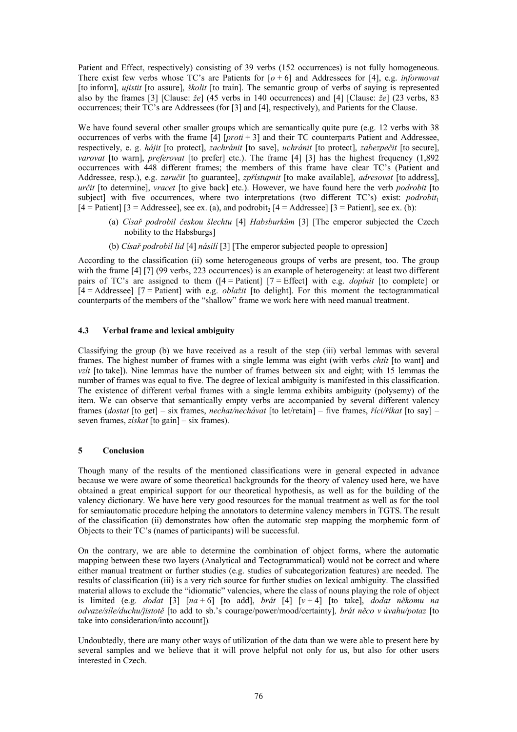Patient and Effect, respectively) consisting of 39 verbs (152 occurrences) is not fully homogeneous. There exist few verbs whose TC's are Patients for [*o* + 6] and Addressees for [4], e.g. *informovat* [to inform], *ujistit* [to assure], *školit* [to train]. The semantic group of verbs of saying is represented also by the frames [3] [Clause: *že*] (45 verbs in 140 occurrences) and [4] [Clause: *že*] (23 verbs, 83 occurrences; their TC's are Addressees (for [3] and [4], respectively), and Patients for the Clause.

We have found several other smaller groups which are semantically quite pure (e.g. 12 verbs with 38 occurrences of verbs with the frame [4] [*proti* + 3] and their TC counterparts Patient and Addressee, respectively, e. g. *hájit* [to protect], *zachránit* [to save], *uchránit* [to protect], *zabezpečit* [to secure], *varovat* [to warn], *preferovat* [to prefer] etc.). The frame [4] [3] has the highest frequency (1,892) occurrences with 448 different frames; the members of this frame have clear TC's (Patient and Addressee, resp.), e.g. *zaručit* [to guarantee], *zpřístupnit* [to make available], *adresovat* [to address], *určit* [to determine], *vracet* [to give back] etc.). However, we have found here the verb *podrobit* [to subject] with five occurrences, where two interpretations (two different  $TC's$ ) exist: *podrobit*<sub>1</sub>  $[4 =$  Patient]  $[3 =$  Addressee], see ex. (a), and podrobit,  $[4 =$  Addressee]  $[3 =$  Patient], see ex. (b):

- (a) *Císař podrobil českou šlechtu* [4] *Habsburkům* [3] [The emperor subjected the Czech nobility to the Habsburgs]
- (b) *Císař podrobil lid* [4] *násilí* [3] [The emperor subjected people to opression]

According to the classification (ii) some heterogeneous groups of verbs are present, too. The group with the frame [4] [7] (99 verbs, 223 occurrences) is an example of heterogeneity: at least two different pairs of TC's are assigned to them ([4 = Patient] [7 = Effect] with e.g. *doplnit* [to complete] or [4 = Addressee] [7 = Patient] with e.g. *oblažit* [to delight]. For this moment the tectogrammatical counterparts of the members of the "shallow" frame we work here with need manual treatment.

### **4.3 Verbal frame and lexical ambiguity**

Classifying the group (b) we have received as a result of the step (iii) verbal lemmas with several frames. The highest number of frames with a single lemma was eight (with verbs *chtít* [to want] and *vzít* [to take]). Nine lemmas have the number of frames between six and eight; with 15 lemmas the number of frames was equal to five. The degree of lexical ambiguity is manifested in this classification. The existence of different verbal frames with a single lemma exhibits ambiguity (polysemy) of the item. We can observe that semantically empty verbs are accompanied by several different valency frames (*dostat* [to get] – six frames, *nechat/nechávat* [to let/retain] – five frames, *říci/říkat* [to say] – seven frames, *získat* [to gain] – six frames).

### **5 Conclusion**

Though many of the results of the mentioned classifications were in general expected in advance because we were aware of some theoretical backgrounds for the theory of valency used here, we have obtained a great empirical support for our theoretical hypothesis, as well as for the building of the valency dictionary. We have here very good resources for the manual treatment as well as for the tool for semiautomatic procedure helping the annotators to determine valency members in TGTS. The result of the classification (ii) demonstrates how often the automatic step mapping the morphemic form of Objects to their TC's (names of participants) will be successful.

On the contrary, we are able to determine the combination of object forms, where the automatic mapping between these two layers (Analytical and Tectogrammatical) would not be correct and where either manual treatment or further studies (e.g. studies of subcategorization features) are needed. The results of classification (iii) is a very rich source for further studies on lexical ambiguity. The classified material allows to exclude the "idiomatic" valencies, where the class of nouns playing the role of object is limited (e.g. *dodat* [3] [*na* + 6] [to add], *brát* [4] [*v* + 4] [to take], *dodat někomu na odvaze/síle/duchu/jistotě* [to add to sb.'s courage/power/mood/certainty]*, brát něco v úvahu/potaz* [to take into consideration/into account])*.*

Undoubtedly, there are many other ways of utilization of the data than we were able to present here by several samples and we believe that it will prove helpful not only for us, but also for other users interested in Czech.